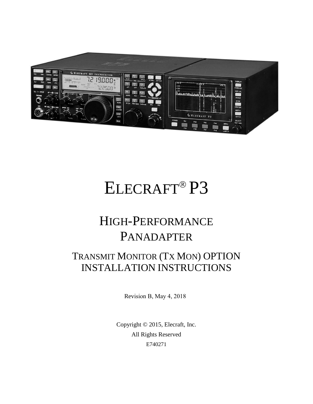

# ELECRAFT<sup>®</sup>P3

## HIGH-PERFORMANCE PANADAPTER

## TRANSMIT MONITOR (TX MON) OPTION INSTALLATION INSTRUCTIONS

Revision B, May 4, 2018

Copyright © 2015, Elecraft, Inc. All Rights Reserved E740271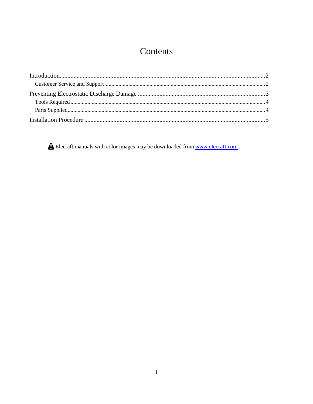### Contents

A Elecraft manuals with color images may be downloaded from www.elecraft.com.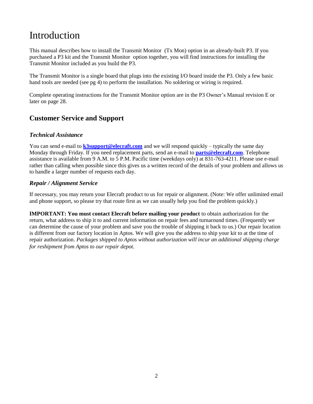## Introduction

This manual describes how to install the Transmit Monitor (Tx Mon) option in an already-built P3. If you purchased a P3 kit and the Transmit Monitor option together, you will find instructions for installing the Transmit Monitor included as you build the P3.

The Transmit Monitor is a single board that plugs into the existing I/O board inside the P3. Only a few basic hand tools are needed (see pg [4\)](#page-4-0) to perform the installation. No soldering or wiring is required.

Complete operating instructions for the Transmit Monitor option are in the P3 Owner's Manual revision E or later on page 28.

#### **Customer Service and Support**

#### *Technical Assistance*

You can send e-mail to **[k3support@elecraft.com](mailto:k3support@elecraft.com)** and we will respond quickly – typically the same day Monday through Friday. If you need replacement parts, send an e-mail to **[parts@elecraft.com](mailto:parts@elecraft.com)**. Telephone assistance is available from 9 A.M. to 5 P.M. Pacific time (weekdays only) at 831-763-4211. Please use e-mail rather than calling when possible since this gives us a written record of the details of your problem and allows us to handle a larger number of requests each day.

#### *Repair / Alignment Service*

If necessary, you may return your Elecraft product to us for repair or alignment. (Note: We offer unlimited email and phone support, so please try that route first as we can usually help you find the problem quickly.)

**IMPORTANT: You must contact Elecraft before mailing your product** to obtain authorization for the return, what address to ship it to and current information on repair fees and turnaround times. (Frequently we can determine the cause of your problem and save you the trouble of shipping it back to us.) Our repair location is different from our factory location in Aptos. We will give you the address to ship your kit to at the time of repair authorization. *Packages shipped to Aptos without authorization will incur an additional shipping charge for reshipment from Aptos to our repair depot.*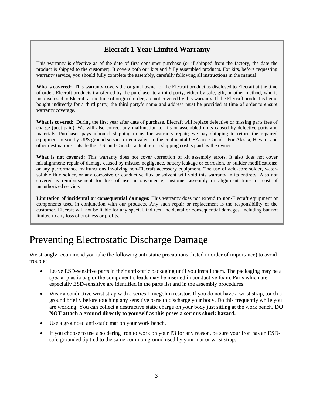#### **Elecraft 1-Year Limited Warranty**

This warranty is effective as of the date of first consumer purchase (or if shipped from the factory, the date the product is shipped to the customer). It covers both our kits and fully assembled products. For kits, before requesting warranty service, you should fully complete the assembly, carefully following all instructions in the manual.

**Who is covered:** This warranty covers the original owner of the Elecraft product as disclosed to Elecraft at the time of order. Elecraft products transferred by the purchaser to a third party, either by sale, gift, or other method, who is not disclosed to Elecraft at the time of original order, are not covered by this warranty. If the Elecraft product is being bought indirectly for a third party, the third party's name and address must be provided at time of order to ensure warranty coverage.

**What is covered:** During the first year after date of purchase, Elecraft will replace defective or missing parts free of charge (post-paid). We will also correct any malfunction to kits or assembled units caused by defective parts and materials. Purchaser pays inbound shipping to us for warranty repair; we pay shipping to return the repaired equipment to you by UPS ground service or equivalent to the continental USA and Canada. For Alaska, Hawaii, and other destinations outside the U.S. and Canada, actual return shipping cost is paid by the owner.

**What is not covered:** This warranty does not cover correction of kit assembly errors. It also does not cover misalignment; repair of damage caused by misuse, negligence, battery leakage or corrosion, or builder modifications; or any performance malfunctions involving non-Elecraft accessory equipment. The use of acid-core solder, watersoluble flux solder, or any corrosive or conductive flux or solvent will void this warranty in its entirety. Also not covered is reimbursement for loss of use, inconvenience, customer assembly or alignment time, or cost of unauthorized service.

**Limitation of incidental or consequential damages:** This warranty does not extend to non-Elecraft equipment or components used in conjunction with our products. Any such repair or replacement is the responsibility of the customer. Elecraft will not be liable for any special, indirect, incidental or consequential damages, including but not limited to any loss of business or profits.

## Preventing Electrostatic Discharge Damage

We strongly recommend you take the following anti-static precautions (listed in order of importance) to avoid trouble:

- Leave ESD-sensitive parts in their anti-static packaging until you install them. The packaging may be a special plastic bag or the component's leads may be inserted in conductive foam. Parts which are especially ESD-sensitive are identified in the parts list and in the assembly procedures.
- Wear a conductive wrist strap with a series 1-megohm resistor. If you do not have a wrist strap, touch a ground briefly before touching any sensitive parts to discharge your body. Do this frequently while you are working. You can collect a destructive static charge on your body just sitting at the work bench. **DO NOT attach a ground directly to yourself as this poses a serious shock hazard.**
- Use a grounded anti-static mat on your work bench.
- If you choose to use a soldering iron to work on your P3 for any reason, be sure your iron has an ESDsafe grounded tip tied to the same common ground used by your mat or wrist strap.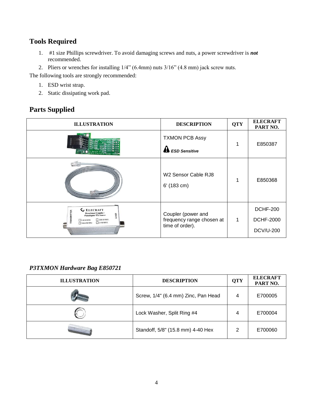#### <span id="page-4-0"></span>**Tools Required**

- 1. #1 size Phillips screwdriver. To avoid damaging screws and nuts, a power screwdriver is *not*  recommended.
- 2. Pliers or wrenches for installing 1/4" (6.4mm) nuts 3/16" (4.8 mm) jack screw nuts.

The following tools are strongly recommended:

- 1. ESD wrist strap.
- 2. Static dissipating work pad.

#### **Parts Supplied**

| <b>ILLUSTRATION</b>                                                                                                                                                    | <b>DESCRIPTION</b>                                                 | <b>QTY</b> | <b>ELECRAFT</b><br>PART NO.                             |
|------------------------------------------------------------------------------------------------------------------------------------------------------------------------|--------------------------------------------------------------------|------------|---------------------------------------------------------|
|                                                                                                                                                                        | <b>TXMON PCB Assy</b><br><b>A</b> ESD Sensitive                    |            | E850387                                                 |
|                                                                                                                                                                        | W2 Sensor Cable RJ8<br>$6'$ (183 cm)                               |            | E850368                                                 |
| <b>LELECRAFT</b><br><b>Directional Coupler /</b><br>DAD<br><b>Panadapter TX Sensor</b><br>$\Box$ 200 W MAX.<br>$\Box$ 1.8-54 MHz<br>$\square$ 2 KW MAX.<br>144-450 MHz | Coupler (power and<br>frequency range chosen at<br>time of order). | 1          | <b>DCHF-200</b><br><b>DCHF-2000</b><br><b>DCV/U-200</b> |

#### *P3TXMON Hardware Bag E850721*

| <b>ILLUSTRATION</b> | <b>DESCRIPTION</b>                  | <b>QTY</b> | <b>ELECRAFT</b><br>PART NO. |
|---------------------|-------------------------------------|------------|-----------------------------|
|                     | Screw, 1/4" (6.4 mm) Zinc, Pan Head | 4          | E700005                     |
|                     | Lock Washer, Split Ring #4          | 4          | E700004                     |
|                     | Standoff, 5/8" (15.8 mm) 4-40 Hex   | 2          | E700060                     |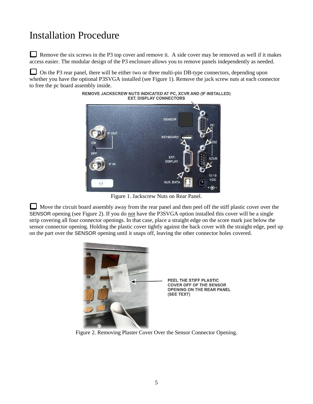## Installation Procedure

Remove the six screws in the P3 top cover and remove it. A side cover may be removed as well if it makes access easier. The modular design of the P3 enclosure allows you to remove panels independently as needed.

On the P3 rear panel, there will be either two or three multi-pin DB-type connectors, depending upon whether you have the optional P3SVGA installed (see [Figure 1\)](#page-5-0). Remove the jack screw nuts at each connector to free the pc board assembly inside.



REMOVE JACKSCREW NUTS INDICATED AT PC, XCVR AND (IF INSTALLED) **EXT. DISPLAY CONNECTORS** 

Figure 1. Jackscrew Nuts on Rear Panel.

<span id="page-5-0"></span>Move the circuit board assembly away from the rear panel and then peel off the stiff plastic cover over the SENSOR opening (see [Figure 2\)](#page-5-1). If you do not have the P3SVGA option installed this cover will be a single strip covering all four connector openings. In that case, place a straight edge on the score mark just below the sensor connector opening. Holding the plastic cover tightly against the back cover with the straight edge, peel up on the part over the SENSOR opening until it snaps off, leaving the other connector holes covered.



<span id="page-5-1"></span>Figure 2. Removing Plaster Cover Over the Sensor Connector Opening.